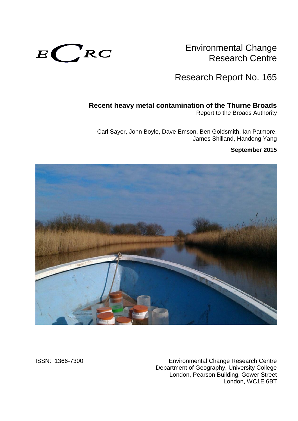

Environmental Change Research Centre

Research Report No. 165

# **Recent heavy metal contamination of the Thurne Broads**

Report to the Broads Authority

Carl Sayer, John Boyle, Dave Emson, Ben Goldsmith, Ian Patmore, James Shilland, Handong Yang

## **September 2015**

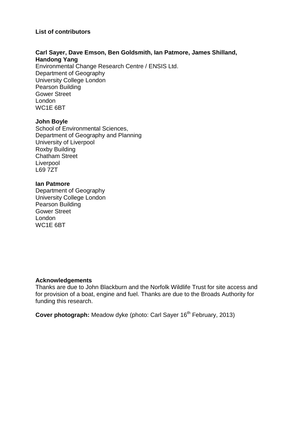### **List of contributors**

#### **Carl Sayer, Dave Emson, Ben Goldsmith, Ian Patmore, James Shilland, Handong Yang**

Environmental Change Research Centre / ENSIS Ltd. Department of Geography University College London Pearson Building Gower Street London WC1E 6BT

### **John Boyle**

School of Environmental Sciences, Department of Geography and Planning University of Liverpool Roxby Building Chatham Street Liverpool L69 7ZT

### **Ian Patmore**

Department of Geography University College London Pearson Building Gower Street London WC1E 6BT

#### **Acknowledgements**

Thanks are due to John Blackburn and the Norfolk Wildlife Trust for site access and for provision of a boat, engine and fuel. Thanks are due to the Broads Authority for funding this research.

**Cover photograph:** Meadow dyke (photo: Carl Sayer 16 th February, 2013)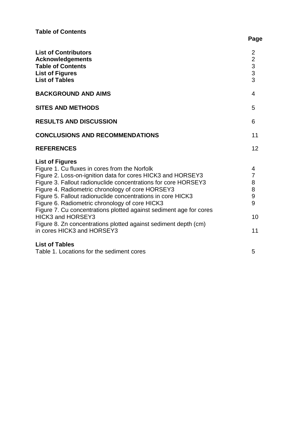| <b>List of Contributors</b><br><b>Acknowledgements</b><br><b>Table of Contents</b><br><b>List of Figures</b><br><b>List of Tables</b>                                                                                                                                                                                                                                                                                                                                                                                                                                            | $\overline{2}$<br>$\overline{2}$<br>$\frac{3}{3}$<br>$\overline{3}$ |
|----------------------------------------------------------------------------------------------------------------------------------------------------------------------------------------------------------------------------------------------------------------------------------------------------------------------------------------------------------------------------------------------------------------------------------------------------------------------------------------------------------------------------------------------------------------------------------|---------------------------------------------------------------------|
| <b>BACKGROUND AND AIMS</b>                                                                                                                                                                                                                                                                                                                                                                                                                                                                                                                                                       | 4                                                                   |
| <b>SITES AND METHODS</b>                                                                                                                                                                                                                                                                                                                                                                                                                                                                                                                                                         | 5                                                                   |
| <b>RESULTS AND DISCUSSION</b>                                                                                                                                                                                                                                                                                                                                                                                                                                                                                                                                                    | 6                                                                   |
| <b>CONCLUSIONS AND RECOMMENDATIONS</b>                                                                                                                                                                                                                                                                                                                                                                                                                                                                                                                                           | 11                                                                  |
| <b>REFERENCES</b>                                                                                                                                                                                                                                                                                                                                                                                                                                                                                                                                                                | 12                                                                  |
| <b>List of Figures</b><br>Figure 1. Cu fluxes in cores from the Norfolk<br>Figure 2. Loss-on-ignition data for cores HICK3 and HORSEY3<br>Figure 3. Fallout radionuclide concentrations for core HORSEY3<br>Figure 4. Radiometric chronology of core HORSEY3<br>Figure 5. Fallout radionuclide concentrations in core HICK3<br>Figure 6. Radiometric chronology of core HICK3<br>Figure 7. Cu concentrations plotted against sediment age for cores<br><b>HICK3 and HORSEY3</b><br>Figure 8. Zn concentrations plotted against sediment depth (cm)<br>in cores HICK3 and HORSEY3 | 4<br>$\overline{7}$<br>8<br>8<br>9<br>9<br>10<br>11                 |
| <b>List of Tables</b><br>Table 1. Locations for the sediment cores                                                                                                                                                                                                                                                                                                                                                                                                                                                                                                               | 5                                                                   |

# **Page**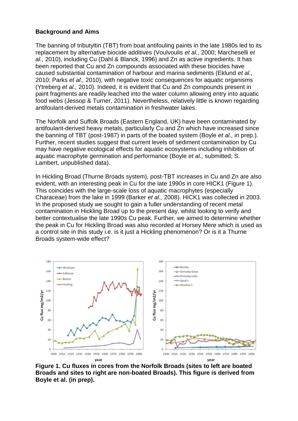### **Background and Aims**

The banning of tributyltin (TBT) from boat antifouling paints in the late 1980s led to its replacement by alternative biocide additives (Voulvoulis *et al.,* 2000; Marcheselli *et al.,* 2010), including Cu (Dahl & Blanck, 1996) and Zn as active ingredients. It has been reported that Cu and Zn compounds associated with these biocides have caused substantial contamination of harbour and marina sediments (Eklund *et al.,* 2010; Parks *et al.,* 2010), with negative toxic consequences for aquatic organisms (Ytreberg *et al.,* 2010). Indeed, it is evident that Cu and Zn compounds present in paint fragments are readily leached into the water column allowing entry into aquatic food webs (Jessop & Turner, 2011). Nevertheless, relatively little is known regarding antifoulant-derived metals contamination in freshwater lakes.

The Norfolk and Suffolk Broads (Eastern England, UK) have been contaminated by antifoulant-derived heavy metals, particularly Cu and Zn which have increased since the banning of TBT (post-1987) in parts of the boated system (Boyle *et al.,* in prep.). Further, recent studies suggest that current levels of sediment contamination by Cu may have negative ecological effects for aquatic ecosystems including inhibition of aquatic macrophyte germination and performance (Boyle *et al.,* submitted; S. Lambert, unpublished data).

In Hickling Broad (Thurne Broads system), post-TBT increases in Cu and Zn are also evident, with an interesting peak in Cu for the late 1990s in core HICK1 (Figure 1). This coincides with the large-scale loss of aquatic macrophytes (especially Characeae) from the lake in 1999 (Barker *et al.,* 2008). HICK1 was collected in 2003. In the proposed study we sought to gain a fuller understanding of recent metal contamination in Hickling Broad up to the present day, whilst looking to verify and better contextualise the late 1990s Cu peak. Further, we aimed to determine whether the peak in Cu for Hickling Broad was also recorded at Horsey Mere which is used as a control site in this study i.e. is it just a Hickling phenomenon? Or is it a Thurne Broads system-wide effect?



**Figure 1. Cu fluxes in cores from the Norfolk Broads (sites to left are boated Broads and sites to right are non-boated Broads). This figure is derived from Boyle et al. (in prep).**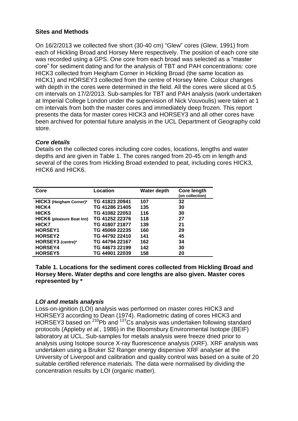## **Sites and Methods**

On 16/2/2013 we collected five short (30-40 cm) "Glew" cores (Glew, 1991) from each of Hickling Broad and Horsey Mere respectively. The position of each core site was recorded using a GPS. One core from each broad was selected as a "master core" for sediment dating and for the analysis of TBT and PAH concentrations: core HICK3 collected from Heigham Corner in Hickling Broad (the same location as HICK1) and HORSEY3 collected from the centre of Horsey Mere. Colour changes with depth in the cores were determined in the field. All the cores were sliced at 0.5 cm intervals on 17/2/2013. Sub-samples for TBT and PAH analysis (work undertaken at Imperial College London under the supervision of Nick Vouvoulis) were taken at 1 cm intervals from both the master cores and immediately deep frozen. This report presents the data for master cores HICK3 and HORSEY3 and all other cores have been archived for potential future analysis in the UCL Department of Geography cold store.

### *Core details*

Details on the collected cores including core codes, locations, lengths and water depths and are given in Table 1. The cores ranged from 20-45 cm in length and several of the cores from Hickling Broad extended to peat, including cores HICK3, HICK6 and HICK6.

| Core                             | Location       | Water depth | Core length<br>(on collection) |
|----------------------------------|----------------|-------------|--------------------------------|
| HICK3 (Heigham Corner)*          | TG 41823 20941 | 107         | 32                             |
| HICK4                            | TG 41286 21405 | 135         | 30                             |
| HICK <sub>5</sub>                | TG 41082 22053 | 116         | 30                             |
| <b>HICK6</b> (pleasure Boat Inn) | TG 41252 22376 | 118         | 27                             |
| HICK7                            | TG 41807 21877 | 139         | 21                             |
| HORSEY1                          | TG 45069 22235 | 160         | 29                             |
| <b>HORSEY2</b>                   | TG 44792 22410 | 141         | 45                             |
| HORSEY3 (centre)*                | TG 44794 22167 | 162         | 34                             |
| HORSEY4                          | TG 44673 22199 | 142         | 30                             |
| <b>HORSEY5</b>                   | TG 44901 22039 | 158         | 20                             |

**Table 1. Locations for the sediment cores collected from Hickling Broad and Horsey Mere. Water depths and core lengths are also given. Master cores represented by \***

## *LOI and metals analysis*

Loss-on-ignition (LOI) analysis was performed on master cores HICK3 and HORSEY3 according to Dean (1974). Radiometric dating of cores HICK3 and HORSEY3 based on <sup>210</sup>Pb and <sup>137</sup>Cs analysis was undertaken following standard protocols (Appleby *et al.,* 1986) in the Bloomsbury Environmental Isotope (BEIF) laboratory at UCL. Sub-samples for metals analysis were freeze dried prior to analysis using Isotope source X-ray fluorescence analysis (XRF). XRF analysis was undertaken using a Bruker S2 Ranger energy dispersive XRF analyser at the University of Liverpool and calibration and quality control was based on a suite of 20 suitable certified reference materials. The data were normalised by dividing the concentration results by LOI (organic matter).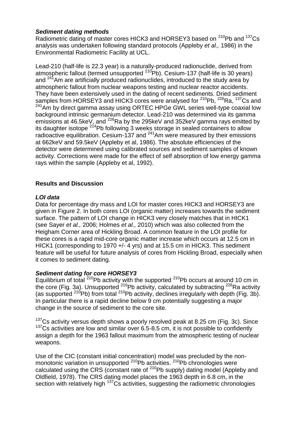## *Sediment dating methods*

Radiometric dating of master cores HICK3 and HORSEY3 based on <sup>210</sup>Pb and <sup>137</sup>Cs analysis was undertaken following standard protocols (Appleby *et al.,* 1986) in the Environmental Radiometric Facility at UCL.

Lead-210 (half-life is 22.3 year) is a naturally-produced radionuclide, derived from atmospheric fallout (termed unsupported <sup>210</sup>Pb). Cesium-137 (half-life is 30 years) and  $241$ Am are artificially produced radionuclides, introduced to the study area by atmospheric fallout from nuclear weapons testing and nuclear reactor accidents. They have been extensively used in the dating of recent sediments. Dried sediment samples from HORSEY3 and HICK3 cores were analysed for <sup>210</sup>Pb, <sup>226</sup>Ra, <sup>137</sup>Cs and  $241$ Am by direct gamma assay using ORTEC HPGe GWL series well-type coaxial low background intrinsic germanium detector. Lead-210 was determined via its gamma emissions at 46.5keV, and  $^{226}$ Ra by the 295keV and 352keV gamma rays emitted by its daughter isotope  $2^{14}Pb$  following 3 weeks storage in sealed containers to allow radioactive equilibration. Cesium-137 and  $241$ Am were measured by their emissions at 662keV and 59.5keV (Appleby et al, 1986). The absolute efficiencies of the detector were determined using calibrated sources and sediment samples of known activity. Corrections were made for the effect of self absorption of low energy gamma rays within the sample (Appleby et al, 1992).

# **Results and Discussion**

## *LOI data*

Data for percentage dry mass and LOI for master cores HICK3 and HORSEY3 are given in Figure 2. In both cores LOI (organic matter) increases towards the sediment surface. The pattern of LOI change in HICK3 very closely matches that in HICK1 (see Sayer *et al.,* 2006; Holmes *et al.,* 2010) which was also collected from the Heigham Corner area of Hickling Broad. A common feature in the LOI profile for these cores is a rapid mid-core organic matter increase which occurs at 12.5 cm in HICK1 (corresponding to 1970 +/- 4 yrs) and at 15.5 cm in HICK3. This sediment feature will be useful for future analysis of cores from Hickling Broad, especially when it comes to sediment dating.

## *Sediment dating for core HORSEY3*

Equilibrium of total  $210Pb$  activity with the supported  $210Pb$  occurs at around 10 cm in the core (Fig. 3a). Unsupported  $^{210}$ Pb activity, calculated by subtracting  $^{226}$ Ra activity (as supported  $^{210}$ Pb) from total  $^{210}$ Pb activity, declines irregularly with depth (Fig. 3b). In particular there is a rapid decline below 9 cm potentially suggesting a major change in the source of sediment to the core site.

 $137$ Cs activity versus depth shows a poorly resolved peak at 8.25 cm (Fig. 3c). Since  $137$ Cs activities are low and similar over 6.5-8.5 cm, it is not possible to confidently assign a depth for the 1963 fallout maximum from the atmospheric testing of nuclear weapons.

Use of the CIC (constant initial concentration) model was precluded by the nonmonotonic variation in unsupported <sup>210</sup>Pb activities. <sup>210</sup>Pb chronologies were calculated using the CRS (constant rate of  $^{210}$ Pb supply) dating model (Appleby and Oldfield, 1978). The CRS dating model places the 1963 depth in 6.8 cm, in the section with relatively high  $137Cs$  activities, suggesting the radiometric chronologies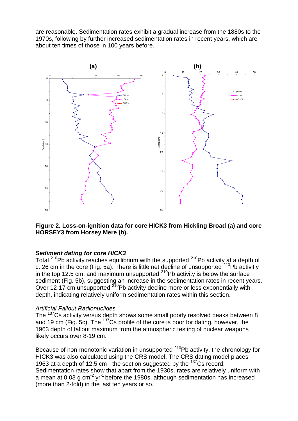are reasonable. Sedimentation rates exhibit a gradual increase from the 1880s to the 1970s, following by further increased sedimentation rates in recent years, which are about ten times of those in 100 years before.



## **Figure 2. Loss-on-ignition data for core HICK3 from Hickling Broad (a) and core HORSEY3 from Horsey Mere (b).**

### *Sediment dating for core HICK3*

Total  $210Pb$  activity reaches equilibrium with the supported  $210Pb$  activity at a depth of c. 26 cm in the core (Fig. 5a). There is little net decline of unsupported  $210Pb$  activitiy in the top 12.5 cm, and maximum unsupported  $^{210}$ Pb activity is below the surface sediment (Fig. 5b), suggesting an increase in the sedimentation rates in recent years. Over 12-17 cm unsupported <sup>210</sup>Pb activity decline more or less exponentially with depth, indicating relatively uniform sedimentation rates within this section.

#### *Artificial Fallout Radionuclides*

The <sup>137</sup>Cs activity versus depth shows some small poorly resolved peaks between 8 and 19 cm (Fig. 5c). The  $^{137}$ Cs profile of the core is poor for dating, however, the 1963 depth of fallout maximum from the atmospheric testing of nuclear weapons likely occurs over 8-19 cm.

Because of non-monotonic variation in unsupported  $210Pb$  activity, the chronology for HICK3 was also calculated using the CRS model. The CRS dating model places 1963 at a depth of 12.5 cm - the section suggested by the <sup>137</sup>Cs record. Sedimentation rates show that apart from the 1930s, rates are relatively uniform with a mean at 0.03 g cm<sup>-2</sup> yr<sup>-1</sup> before the 1980s, although sedimentation has increased (more than 2-fold) in the last ten years or so.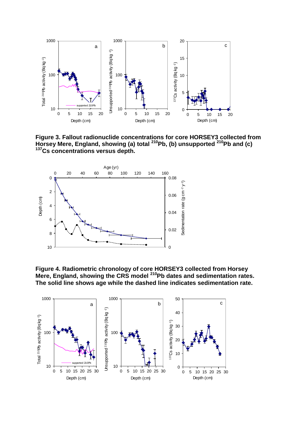

**Figure 3. Fallout radionuclide concentrations for core HORSEY3 collected from Horsey Mere, England, showing (a) total <sup>210</sup>Pb, (b) unsupported <sup>210</sup>Pb and (c) <sup>137</sup>Cs concentrations versus depth.**



**Figure 4. Radiometric chronology of core HORSEY3 collected from Horsey Mere, England, showing the CRS model <sup>210</sup>Pb dates and sedimentation rates. The solid line shows age while the dashed line indicates sedimentation rate.**

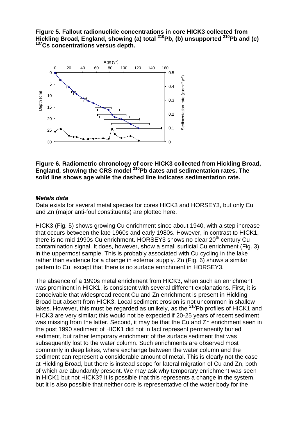## **Figure 5. Fallout radionuclide concentrations in core HICK3 collected from Hickling Broad, England, showing (a) total <sup>210</sup>Pb, (b) unsupported <sup>210</sup>Pb and (c) <sup>137</sup>Cs concentrations versus depth.**



### **Figure 6. Radiometric chronology of core HICK3 collected from Hickling Broad, England, showing the CRS model <sup>210</sup>Pb dates and sedimentation rates. The solid line shows age while the dashed line indicates sedimentation rate.**

## *Metals data*

Data exists for several metal species for cores HICK3 and HORSEY3, but only Cu and Zn (major anti-foul constituents) are plotted here.

HICK3 (Fig. 5) shows growing Cu enrichment since about 1940, with a step increase that occurs between the late 1960s and early 1980s. However, in contrast to HICK1, there is no mid 1990s Cu enrichment. HORSEY3 shows no clear  $20<sup>th</sup>$  century Cu contamination signal. It does, however, show a small surficial Cu enrichment (Fig. 3) in the uppermost sample. This is probably associated with Cu cycling in the lake rather than evidence for a change in external supply. Zn (Fig. 6) shows a similar pattern to Cu, except that there is no surface enrichment in HORSEY3.

The absence of a 1990s metal enrichment from HICK3, when such an enrichment was prominent in HICK1, is consistent with several different explanations. First, it is conceivable that widespread recent Cu and Zn enrichment is present in Hickling Broad but absent from HICK3. Local sediment erosion is not uncommon in shallow lakes. However, this must be regarded as unlikely, as the  $^{210}$ Pb profiles of HICK1 and HICK3 are very similar; this would not be expected if 20-25 years of recent sediment was missing from the latter. Second, it may be that the Cu and Zn enrichment seen in the post 1990 sediment of HICK1 did not in fact represent permanently buried sediment, but rather temporary enrichment of the surface sediment that was subsequently lost to the water column. Such enrichments are observed most commonly in deep lakes, where exchange between the water column and the sediment can represent a considerable amount of metal. This is clearly not the case at Hickling Broad, but there is instead scope for lateral migration of Cu and Zn, both of which are abundantly present. We may ask why temporary enrichment was seen in HICK1 but not HICK3? It is possible that this represents a change in the system, but it is also possible that neither core is representative of the water body for the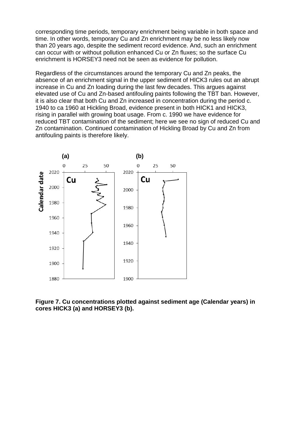corresponding time periods, temporary enrichment being variable in both space and time. In other words, temporary Cu and Zn enrichment may be no less likely now than 20 years ago, despite the sediment record evidence. And, such an enrichment can occur with or without pollution enhanced Cu or Zn fluxes; so the surface Cu enrichment is HORSEY3 need not be seen as evidence for pollution.

Regardless of the circumstances around the temporary Cu and Zn peaks, the absence of an enrichment signal in the upper sediment of HICK3 rules out an abrupt increase in Cu and Zn loading during the last few decades. This argues against elevated use of Cu and Zn-based antifouling paints following the TBT ban. However, it is also clear that both Cu and Zn increased in concentration during the period c. 1940 to ca 1960 at Hickling Broad, evidence present in both HICK1 and HICK3, rising in parallel with growing boat usage. From c. 1990 we have evidence for reduced TBT contamination of the sediment; here we see no sign of reduced Cu and Zn contamination. Continued contamination of Hickling Broad by Cu and Zn from antifouling paints is therefore likely.



**Figure 7. Cu concentrations plotted against sediment age (Calendar years) in cores HICK3 (a) and HORSEY3 (b).**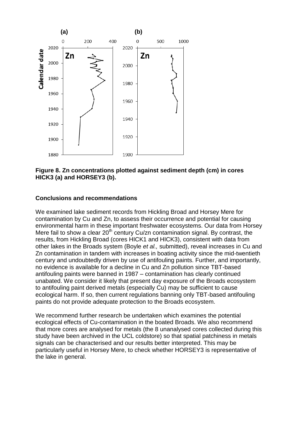

### **Figure 8. Zn concentrations plotted against sediment depth (cm) in cores HICK3 (a) and HORSEY3 (b).**

## **Conclusions and recommendations**

We examined lake sediment records from Hickling Broad and Horsey Mere for contamination by Cu and Zn, to assess their occurrence and potential for causing environmental harm in these important freshwater ecosystems. Our data from Horsey Mere fail to show a clear  $20<sup>th</sup>$  century Cu/zn contamination signal. By contrast, the results, from Hickling Broad (cores HICK1 and HICK3), consistent with data from other lakes in the Broads system (Boyle *et al.,* submitted), reveal increases in Cu and Zn contamination in tandem with increases in boating activity since the mid-twentieth century and undoubtedly driven by use of antifouling paints. Further, and importantly, no evidence is available for a decline in Cu and Zn pollution since TBT-based antifouling paints were banned in 1987 – contamination has clearly continued unabated. We consider it likely that present day exposure of the Broads ecosystem to antifouling paint derived metals (especially Cu) may be sufficient to cause ecological harm. If so, then current regulations banning only TBT-based antifouling paints do not provide adequate protection to the Broads ecosystem.

We recommend further research be undertaken which examines the potential ecological effects of Cu-contamination in the boated Broads. We also recommend that more cores are analysed for metals (the 8 unanalysed cores collected during this study have been archived in the UCL coldstore) so that spatial patchiness in metals signals can be characterised and our results better interpreted. This may be particularly useful in Horsey Mere, to check whether HORSEY3 is representative of the lake in general.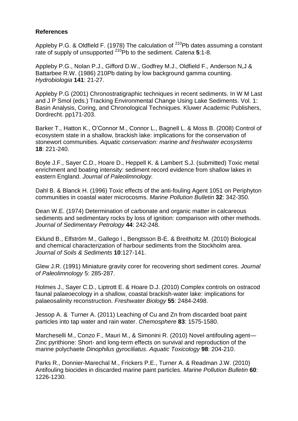## **References**

Appleby P.G. & Oldfield F. (1978) The calculation of  $^{210}$ Pb dates assuming a constant rate of supply of unsupported <sup>210</sup>Pb to the sediment. *Catena* **5**:1-8.

Appleby P.G., Nolan P.J., Gifford D.W., Godfrey M.J., Oldfield F., Anderson N,J & Battarbee R.W. (1986) 210Pb dating by low background gamma counting. *Hydrobiologia* **141**: 21-27.

Appleby P.G (2001) Chronostratigraphic techniques in recent sediments. In W M Last and J P Smol (eds.) Tracking Environmental Change Using Lake Sediments. Vol. 1: Basin Analysis, Coring, and Chronological Techniques. Kluwer Academic Publishers, Dordrecht. pp171-203.

Barker T., Hatton K., O'Connor M., Connor L., Bagnell L. & Moss B. (2008) Control of ecosystem state in a shallow, brackish lake: implications for the conservation of stonewort communities. *Aquatic conservation: marine and freshwater ecosystems* **18**: 221-240.

Boyle J.F., Sayer C.D., Hoare D., Heppell K. & Lambert S.J. (submitted) Toxic metal enrichment and boating intensity: sediment record evidence from shallow lakes in eastern England. *Journal of Paleolimnology.*

Dahl B. & Blanck H. (1996) Toxic effects of the anti-fouling Agent 1051 on Periphyton communities in coastal water microcosms. *Marine Pollution Bulletin* **32**: 342-350.

Dean W.E. (1974) Determination of carbonate and organic matter in calcareous sediments and sedimentary rocks by loss of ignition: comparison with other methods. *Journal of Sedimentary Petrology* **44**: 242-248.

Eklund B., Elfström M., Gallego I., Bengtsson B-E. & Breitholtz M. (2010) Biological and chemical characterization of harbour sediments from the Stockholm area. *Journal of Soils & Sediments* **10**:127-141.

Glew J.R. (1991) Miniature gravity corer for recovering short sediment cores. *Journal of Paleolimnology* 5: 285-287.

Holmes J., Sayer C.D., Liptrott E. & Hoare D.J. (2010) Complex controls on ostracod faunal palaeoecology in a shallow, coastal brackish-water lake: implications for palaeosalinity reconstruction. *Freshwater Biology* **55**: 2484-2498.

Jessop A. & Turner A. (2011) Leaching of Cu and Zn from discarded boat paint particles into tap water and rain water. *Chemosphere* **83**: 1575-1580.

Marcheselli M., Conzo F., Mauri M., & Simonini R. (2010) Novel antifouling agent— Zinc pyrithione: Short- and long-term effects on survival and reproduction of the marine polychaete *Dinophilus gyrociliatus*. *Aquatic Toxicology* **98**: 204-210.

Parks R., Donnier-Marechal M., Frickers P.E., Turner A. & Readman J.W. (2010) Antifouling biocides in discarded marine paint particles. *Marine Pollution Bulletin* **60**: 1226-1230.